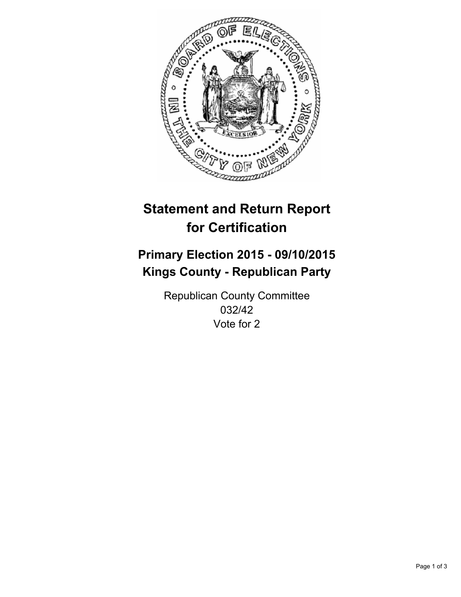

# **Statement and Return Report for Certification**

## **Primary Election 2015 - 09/10/2015 Kings County - Republican Party**

Republican County Committee 032/42 Vote for 2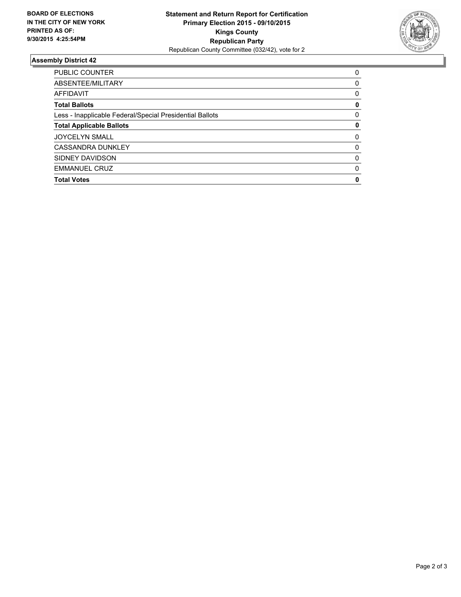

### **Assembly District 42**

| <b>PUBLIC COUNTER</b>                                    | 0        |
|----------------------------------------------------------|----------|
| ABSENTEE/MILITARY                                        | 0        |
| <b>AFFIDAVIT</b>                                         | 0        |
| <b>Total Ballots</b>                                     | 0        |
| Less - Inapplicable Federal/Special Presidential Ballots | $\Omega$ |
| <b>Total Applicable Ballots</b>                          | 0        |
| <b>JOYCELYN SMALL</b>                                    | 0        |
| <b>CASSANDRA DUNKLEY</b>                                 | $\Omega$ |
| SIDNEY DAVIDSON                                          | 0        |
| <b>EMMANUEL CRUZ</b>                                     | $\Omega$ |
| <b>Total Votes</b>                                       | 0        |